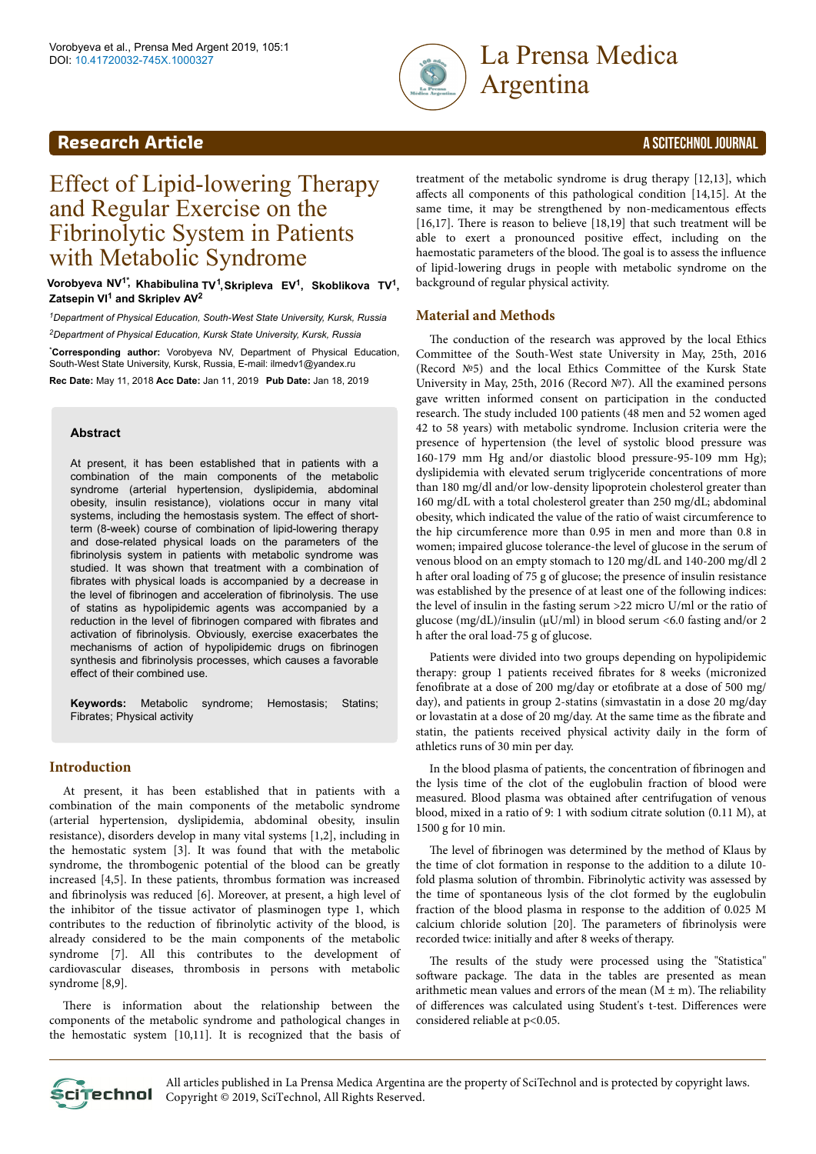

# Argentina

### **Research Article** A SCITECHNOL JOURNAL

## Effect of Lipid-lowering Therapy and Regular Exercise on the Fibrinolytic System in Patients with Metabolic Syndrome

**Vorobyeva NV1\* , Khabibulina TV<sup>1</sup> , Skripleva EV<sup>1</sup> , Skoblikova TV<sup>1</sup> , Zatsepin VI<sup>1</sup> and Skriplev AV<sup>2</sup>**

*<sup>1</sup>Department of Physical Education, South-West State University, Kursk, Russia <sup>2</sup>Department of Physical Education, Kursk State University, Kursk, Russia*

\***Corresponding author:** Vorobyeva NV, Department of Physical Education, South-West State University, Kursk, Russia, E-mail: ilmedv1@yandex.ru

**Rec Date:** May 11, 2018 **Acc Date:** Jan 11, 2019 **Pub Date:** Jan 18, 2019

#### **Abstract**

At present, it has been established that in patients with a combination of the main components of the metabolic syndrome (arterial hypertension, dyslipidemia, abdominal obesity, insulin resistance), violations occur in many vital systems, including the hemostasis system. The effect of shortterm (8-week) course of combination of lipid-lowering therapy and dose-related physical loads on the parameters of the fibrinolysis system in patients with metabolic syndrome was studied. It was shown that treatment with a combination of fibrates with physical loads is accompanied by a decrease in the level of fibrinogen and acceleration of fibrinolysis. The use of statins as hypolipidemic agents was accompanied by a reduction in the level of fibrinogen compared with fibrates and activation of fibrinolysis. Obviously, exercise exacerbates the mechanisms of action of hypolipidemic drugs on fibrinogen synthesis and fibrinolysis processes, which causes a favorable effect of their combined use.

**Keywords:** Metabolic syndrome; Hemostasis; Statins; Fibrates; Physical activity

#### **Introduction**

At present, it has been established that in patients with a combination of the main components of the metabolic syndrome (arterial hypertension, dyslipidemia, abdominal obesity, insulin resistance), disorders develop in many vital systems [1,2], including in the hemostatic system [3]. It was found that with the metabolic syndrome, the thrombogenic potential of the blood can be greatly increased [4,5]. In these patients, thrombus formation was increased and fibrinolysis was reduced [6]. Moreover, at present, a high level of the inhibitor of the tissue activator of plasminogen type 1, which contributes to the reduction of fibrinolytic activity of the blood, is already considered to be the main components of the metabolic syndrome [7]. All this contributes to the development of cardiovascular diseases, thrombosis in persons with metabolic syndrome [8,9].

There is information about the relationship between the components of the metabolic syndrome and pathological changes in the hemostatic system [10,11]. It is recognized that the basis of treatment of the metabolic syndrome is drug therapy [12,13], which affects all components of this pathological condition  $[14,15]$ . At the same time, it may be strengthened by non-medicamentous effects [16,17]. There is reason to believe [18,19] that such treatment will be able to exert a pronounced positive effect, including on the haemostatic parameters of the blood. The goal is to assess the influence of lipid-lowering drugs in people with metabolic syndrome on the background of regular physical activity.

#### **Material and Methods**

The conduction of the research was approved by the local Ethics Committee of the South-West state University in May, 25th, 2016 (Record №5) and the local Ethics Committee of the Kursk State University in May, 25th, 2016 (Record №7). All the examined persons gave written informed consent on participation in the conducted research. Нe study included 100 patients (48 men and 52 women aged 42 to 58 years) with metabolic syndrome. Inclusion criteria were the presence of hypertension (the level of systolic blood pressure was 160-179 mm Hg and/or diastolic blood pressure-95-109 mm Hg); dyslipidemia with elevated serum triglyceride concentrations of more than 180 mg/dl and/or low-density lipoprotein cholesterol greater than 160 mg/dL with a total cholesterol greater than 250 mg/dL; abdominal obesity, which indicated the value of the ratio of waist circumference to the hip circumference more than 0.95 in men and more than 0.8 in women; impaired glucose tolerance-the level of glucose in the serum of venous blood on an empty stomach to 120 mg/dL and 140-200 mg/dl 2 h after oral loading of 75 g of glucose; the presence of insulin resistance was established by the presence of at least one of the following indices: the level of insulin in the fasting serum >22 micro U/ml or the ratio of glucose (mg/dL)/insulin (μU/ml) in blood serum <6.0 fasting and/or 2 h after the oral load-75 g of glucose.

Patients were divided into two groups depending on hypolipidemic therapy: group 1 patients received fibrates for 8 weeks (micronized fenofibrate at a dose of 200 mg/day or etofibrate at a dose of 500 mg/ day), and patients in group 2-statins (simvastatin in a dose 20 mg/day or lovastatin at a dose of 20 mg/day. At the same time as the fibrate and statin, the patients received physical activity daily in the form of athletics runs of 30 min per day.

In the blood plasma of patients, the concentration of fibrinogen and the lysis time of the clot of the euglobulin fraction of blood were measured. Blood plasma was obtained after centrifugation of venous blood, mixed in a ratio of 9: 1 with sodium citrate solution (0.11 M), at 1500 g for 10 min.

The level of fibrinogen was determined by the method of Klaus by the time of clot formation in response to the addition to a dilute 10 fold plasma solution of thrombin. Fibrinolytic activity was assessed by the time of spontaneous lysis of the clot formed by the euglobulin fraction of the blood plasma in response to the addition of 0.025 M calcium chloride solution [20]. The parameters of fibrinolysis were recorded twice: initially and after 8 weeks of therapy.

The results of the study were processed using the "Statistica" software package. The data in the tables are presented as mean arithmetic mean values and errors of the mean  $(M \pm m)$ . The reliability of differences was calculated using Student's t-test. Differences were considered reliable at p<0.05.

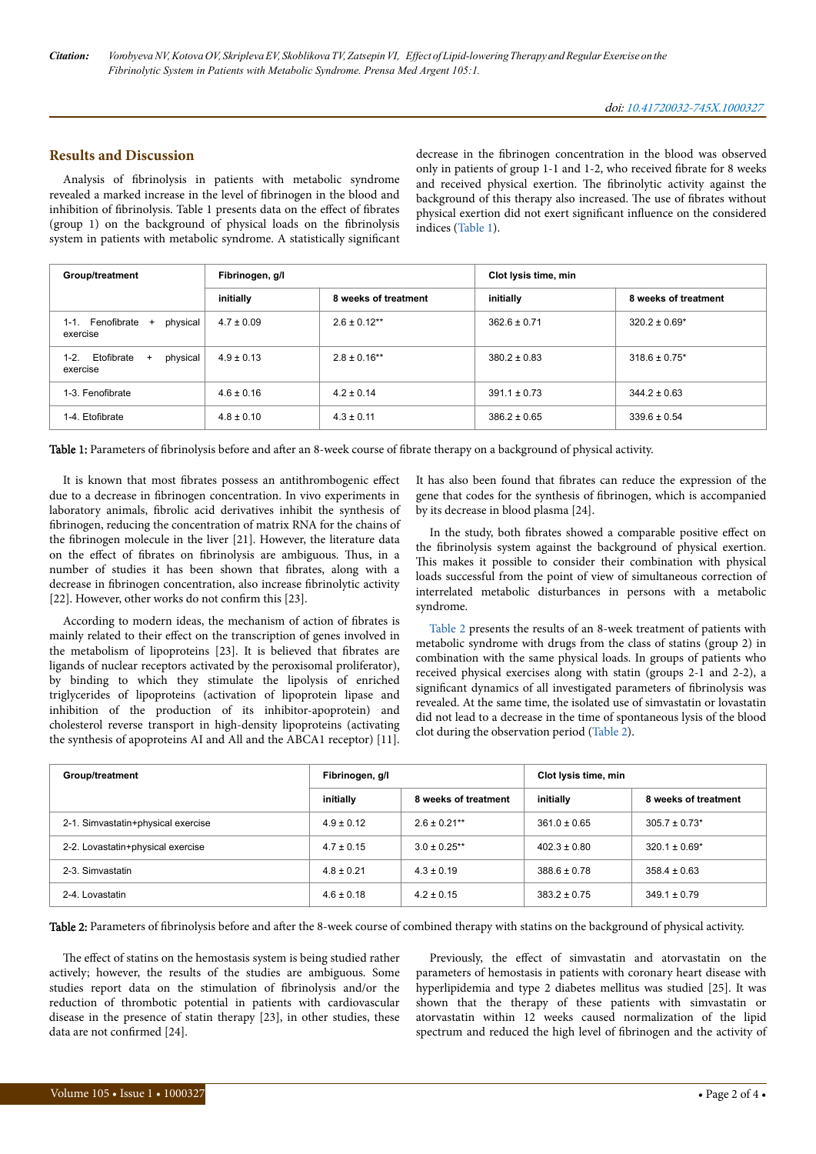#### **Results and Discussion**

Analysis of fibrinolysis in patients with metabolic syndrome revealed a marked increase in the level of fibrinogen in the blood and inhibition of fibrinolysis. Table 1 presents data on the effect of fibrates (group 1) on the background of physical loads on the fibrinolysis system in patients with metabolic syndrome. A statistically significant decrease in the fibrinogen concentration in the blood was observed only in patients of group 1-1 and 1-2, who received fibrate for 8 weeks and received physical exertion. The fibrinolytic activity against the background of this therapy also increased. Нe use of fibrates without physical exertion did not exert significant influence on the considered indices (Table 1).

| Group/treatment                                           | Fibrinogen, g/l |                      | Clot lysis time, min |                      |
|-----------------------------------------------------------|-----------------|----------------------|----------------------|----------------------|
|                                                           | initially       | 8 weeks of treatment | initially            | 8 weeks of treatment |
| physical<br>Fenofibrate +<br>1-1.<br>exercise             | $4.7 \pm 0.09$  | $2.6 \pm 0.12**$     | $362.6 \pm 0.71$     | $320.2 \pm 0.69*$    |
| $1 - 2$ .<br>Etofibrate<br>physical<br>$^{+}$<br>exercise | $4.9 \pm 0.13$  | $2.8 \pm 0.16**$     | $380.2 \pm 0.83$     | $318.6 \pm 0.75$ *   |
| 1-3. Fenofibrate                                          | $4.6 \pm 0.16$  | $4.2 \pm 0.14$       | $391.1 \pm 0.73$     | $344.2 \pm 0.63$     |
| 1-4. Etofibrate                                           | $4.8 \pm 0.10$  | $4.3 \pm 0.11$       | $386.2 \pm 0.65$     | $339.6 \pm 0.54$     |

Table 1: Parameters of fibrinolysis before and after an 8-week course of fibrate therapy on a background of physical activity.

It is known that most fibrates possess an antithrombogenic effect due to a decrease in fibrinogen concentration. In vivo experiments in laboratory animals, fibrolic acid derivatives inhibit the synthesis of fibrinogen, reducing the concentration of matrix RNA for the chains of the fibrinogen molecule in the liver [21]. However, the literature data on the effect of fibrates on fibrinolysis are ambiguous. Thus, in a number of studies it has been shown that fibrates, along with a decrease in fibrinogen concentration, also increase fibrinolytic activity [22]. However, other works do not confirm this [23].

According to modern ideas, the mechanism of action of fibrates is mainly related to their effect on the transcription of genes involved in the metabolism of lipoproteins [23]. It is believed that fibrates are ligands of nuclear receptors activated by the peroxisomal proliferator), by binding to which they stimulate the lipolysis of enriched triglycerides of lipoproteins (activation of lipoprotein lipase and inhibition of the production of its inhibitor-apoprotein) and cholesterol reverse transport in high-density lipoproteins (activating the synthesis of apoproteins AI and All and the ABCA1 receptor) [11]. It has also been found that fibrates can reduce the expression of the gene that codes for the synthesis of fibrinogen, which is accompanied by its decrease in blood plasma [24].

In the study, both fibrates showed a comparable positive effect on the fibrinolysis system against the background of physical exertion. This makes it possible to consider their combination with physical loads successful from the point of view of simultaneous correction of interrelated metabolic disturbances in persons with a metabolic syndrome.

Table 2 presents the results of an 8-week treatment of patients with metabolic syndrome with drugs from the class of statins (group 2) in combination with the same physical loads. In groups of patients who received physical exercises along with statin (groups 2-1 and 2-2), a significant dynamics of all investigated parameters of fibrinolysis was revealed. At the same time, the isolated use of simvastatin or lovastatin did not lead to a decrease in the time of spontaneous lysis of the blood clot during the observation period (Table 2).

| Group/treatment                    | Fibrinogen, g/l |                      | Clot lysis time, min |                      |
|------------------------------------|-----------------|----------------------|----------------------|----------------------|
|                                    | initially       | 8 weeks of treatment | initially            | 8 weeks of treatment |
| 2-1. Simvastatin+physical exercise | $4.9 \pm 0.12$  | $2.6 \pm 0.21***$    | $361.0 \pm 0.65$     | $305.7 \pm 0.73$ *   |
| 2-2. Lovastatin+physical exercise  | $4.7 \pm 0.15$  | $3.0 \pm 0.25$ **    | $402.3 \pm 0.80$     | $320.1 \pm 0.69*$    |
| 2-3. Simvastatin                   | $4.8 \pm 0.21$  | $4.3 \pm 0.19$       | $388.6 \pm 0.78$     | $358.4 \pm 0.63$     |
| 2-4. Lovastatin                    | $4.6 \pm 0.18$  | $4.2 \pm 0.15$       | $383.2 \pm 0.75$     | $349.1 \pm 0.79$     |

Table 2: Parameters of fibrinolysis before and after the 8-week course of combined therapy with statins on the background of physical activity.

The effect of statins on the hemostasis system is being studied rather actively; however, the results of the studies are ambiguous. Some studies report data on the stimulation of fibrinolysis and/or the reduction of thrombotic potential in patients with cardiovascular disease in the presence of statin therapy [23], in other studies, these data are not confirmed [24].

Previously, the effect of simvastatin and atorvastatin on the parameters of hemostasis in patients with coronary heart disease with hyperlipidemia and type 2 diabetes mellitus was studied [25]. It was shown that the therapy of these patients with simvastatin or atorvastatin within 12 weeks caused normalization of the lipid spectrum and reduced the high level of fibrinogen and the activity of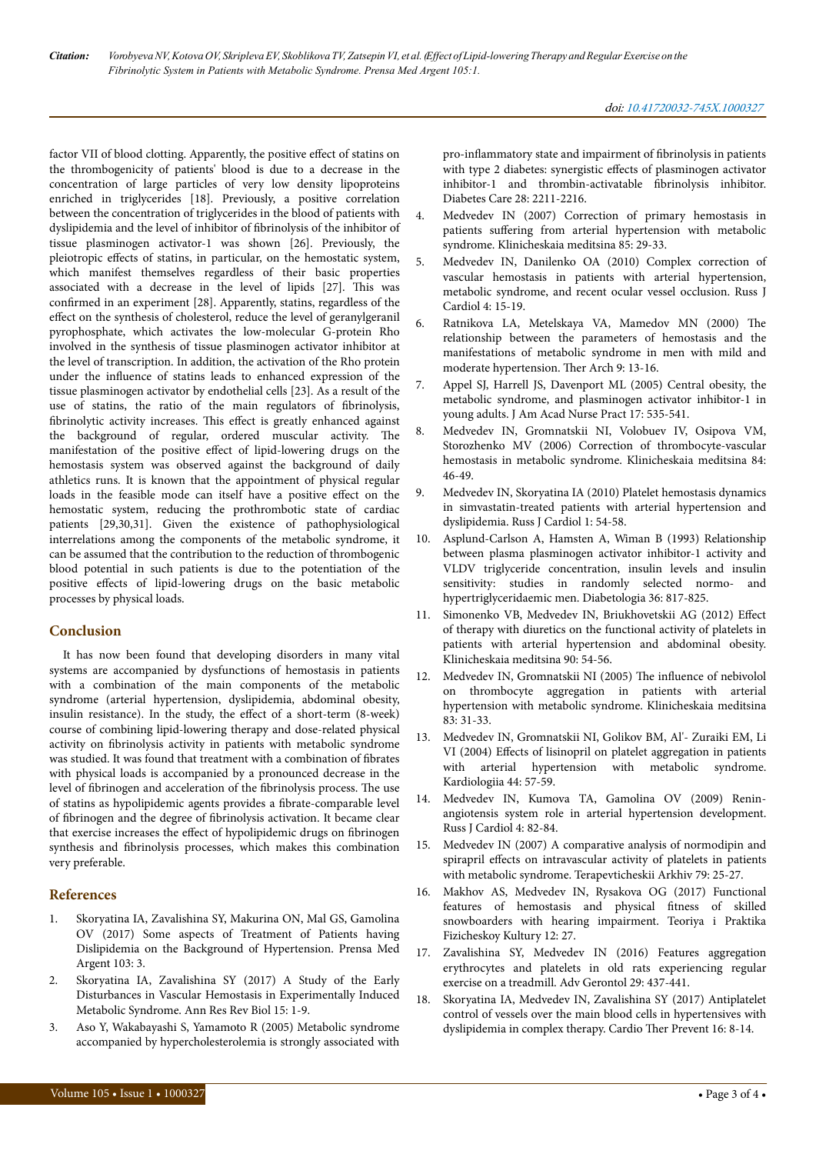factor VII of blood clotting. Apparently, the positive effect of statins on the thrombogenicity of patients' blood is due to a decrease in the concentration of large particles of very low density lipoproteins enriched in triglycerides [18]. Previously, a positive correlation between the concentration of triglycerides in the blood of patients with dyslipidemia and the level of inhibitor of fibrinolysis of the inhibitor of tissue plasminogen activator-1 was shown [26]. Previously, the pleiotropic effects of statins, in particular, on the hemostatic system, which manifest themselves regardless of their basic properties associated with a decrease in the level of lipids [27]. This was confirmed in an experiment [28]. Apparently, statins, regardless of the effect on the synthesis of cholesterol, reduce the level of geranylgeranil pyrophosphate, which activates the low-molecular G-protein Rho involved in the synthesis of tissue plasminogen activator inhibitor at the level of transcription. In addition, the activation of the Rho protein under the influence of statins leads to enhanced expression of the tissue plasminogen activator by endothelial cells [23]. As a result of the use of statins, the ratio of the main regulators of fibrinolysis, fibrinolytic activity increases. This effect is greatly enhanced against the background of regular, ordered muscular activity. Нe manifestation of the positive effect of lipid-lowering drugs on the hemostasis system was observed against the background of daily athletics runs. It is known that the appointment of physical regular loads in the feasible mode can itself have a positive effect on the hemostatic system, reducing the prothrombotic state of cardiac patients [29,30,31]. Given the existence of pathophysiological interrelations among the components of the metabolic syndrome, it can be assumed that the contribution to the reduction of thrombogenic blood potential in such patients is due to the potentiation of the positive effects of lipid-lowering drugs on the basic metabolic processes by physical loads.

#### **Conclusion**

It has now been found that developing disorders in many vital systems are accompanied by dysfunctions of hemostasis in patients with a combination of the main components of the metabolic syndrome (arterial hypertension, dyslipidemia, abdominal obesity, insulin resistance). In the study, the effect of a short-term (8-week) course of combining lipid-lowering therapy and dose-related physical activity on fibrinolysis activity in patients with metabolic syndrome was studied. It was found that treatment with a combination of fibrates with physical loads is accompanied by a pronounced decrease in the level of fibrinogen and acceleration of the fibrinolysis process. The use of statins as hypolipidemic agents provides a fibrate-comparable level of fibrinogen and the degree of fibrinolysis activation. It became clear that exercise increases the effect of hypolipidemic drugs on fibrinogen synthesis and fibrinolysis processes, which makes this combination very preferable.

#### **References**

- 1. [Skoryatina IA, Zavalishina SY, Makurina ON, Mal GS, Gamolina](https://www.scitechnol.com/peer-review/some-aspects-of-treatment-of-patients-having-dislipidemia-on-the-background-of-hypertension-k28p.php?article_id=6301) [OV \(2017\) Some aspects of Treatment of Patients having](https://www.scitechnol.com/peer-review/some-aspects-of-treatment-of-patients-having-dislipidemia-on-the-background-of-hypertension-k28p.php?article_id=6301) [Dislipidemia on the Background of Hypertension. Prensa Med](https://www.scitechnol.com/peer-review/some-aspects-of-treatment-of-patients-having-dislipidemia-on-the-background-of-hypertension-k28p.php?article_id=6301) [Argent 103: 3.](https://www.scitechnol.com/peer-review/some-aspects-of-treatment-of-patients-having-dislipidemia-on-the-background-of-hypertension-k28p.php?article_id=6301)
- 2. [Skoryatina IA, Zavalishina SY \(2017\) A Study of the Early](http://www.sciencedomain.org/abstract/20579) [Disturbances in Vascular Hemostasis in Experimentally Induced](http://www.sciencedomain.org/abstract/20579) [Metabolic Syndrome. Ann Res Rev Biol 15: 1-9.](http://www.sciencedomain.org/abstract/20579)
- 3. [Aso Y, Wakabayashi S, Yamamoto R \(2005\) Metabolic syndrome](http://care.diabetesjournals.org/content/28/9/2211.long) [accompanied by hypercholesterolemia is strongly associated with](http://care.diabetesjournals.org/content/28/9/2211.long)

pro-inflammatory [state and impairment of](http://care.diabetesjournals.org/content/28/9/2211.long) fibrinolysis in patients [with type 2 diabetes: synergistic](http://care.diabetesjournals.org/content/28/9/2211.long) effects of plasminogen activator  $inhibitor-1$  and thrombin-activatable fibrinolysis inhibitor. [Diabetes Care 28: 2211-2216.](http://care.diabetesjournals.org/content/28/9/2211.long)

- 4. [Medvedev IN \(2007\) Correction of primary hemostasis in](https://www.researchgate.net/publication/6310219_Correction_of_primary_hemostasis_in_patients_suffering_from_arterial_hypertension_with_metabolic_syndrome) patients suffering [from arterial hypertension with metabolic](https://www.researchgate.net/publication/6310219_Correction_of_primary_hemostasis_in_patients_suffering_from_arterial_hypertension_with_metabolic_syndrome) [syndrome. Klinicheskaia meditsina 85: 29-33.](https://www.researchgate.net/publication/6310219_Correction_of_primary_hemostasis_in_patients_suffering_from_arterial_hypertension_with_metabolic_syndrome)
- 5. Medvedev IN, Danilenko OA (2010) Complex correction of vascular hemostasis in patients with arterial hypertension, metabolic syndrome, and recent ocular vessel occlusion. Russ J Cardiol 4: 15-19.
- 6. Ratnikova LA, Metelskaya VA, Mamedov MN (2000) Нe relationship between the parameters of hemostasis and the manifestations of metabolic syndrome in men with mild and moderate hypertension. Нer Arch 9: 13-16.
- [Appel SJ, Harrell JS, Davenport ML \(2005\) Central obesity, the](file:///C:/Users/user/AppData/Local/Microsoft/Windows/Temporary%20Internet%20Files/Content.Outlook/7AE9FTMO/onlinelibrary.wiley.com/doi/10.1111/j.1745-7599.2005.00083.x/full) [metabolic syndrome, and plasminogen activator inhibitor-1 in](file:///C:/Users/user/AppData/Local/Microsoft/Windows/Temporary%20Internet%20Files/Content.Outlook/7AE9FTMO/onlinelibrary.wiley.com/doi/10.1111/j.1745-7599.2005.00083.x/full) [young adults. J Am Acad Nurse Pract 17: 535-541.](file:///C:/Users/user/AppData/Local/Microsoft/Windows/Temporary%20Internet%20Files/Content.Outlook/7AE9FTMO/onlinelibrary.wiley.com/doi/10.1111/j.1745-7599.2005.00083.x/full)
- 8. [Medvedev IN, Gromnatskii NI, Volobuev IV, Osipova VM,](http://europepmc.org/abstract/med/16512397) [Storozhenko MV \(2006\) Correction of thrombocyte-vascular](http://europepmc.org/abstract/med/16512397) [hemostasis in metabolic syndrome. Klinicheskaia meditsina 84:](http://europepmc.org/abstract/med/16512397) [46-49.](http://europepmc.org/abstract/med/16512397)
- 9. Medvedev IN, Skoryatina IA (2010) Platelet hemostasis dynamics in simvastatin-treated patients with arterial hypertension and dyslipidemia. Russ J Cardiol 1: 54-58.
- 10. [Asplund-Carlson A, Hamsten A, Wiman B \(1993\) Relationship](https://link.springer.com/article/10.1007/BF00400356) [between plasma plasminogen activator inhibitor-1 activity and](https://link.springer.com/article/10.1007/BF00400356) [VLDV triglyceride concentration, insulin levels and insulin](https://link.springer.com/article/10.1007/BF00400356) [sensitivity: studies in randomly selected normo- and](https://link.springer.com/article/10.1007/BF00400356) [hypertriglyceridaemic men. Diabetologia 36: 817-825.](https://link.springer.com/article/10.1007/BF00400356)
- 11. [Simonenko VB, Medvedev IN, Briukhovetskii AG \(2012\)](http://europepmc.org/abstract/med/23516856) Effect [of therapy with diuretics on the functional activity of platelets in](http://europepmc.org/abstract/med/23516856) [patients with arterial hypertension and abdominal obesity.](http://europepmc.org/abstract/med/23516856) [Klinicheskaia meditsina 90: 54-56.](http://europepmc.org/abstract/med/23516856)
- 12. [Medvedev IN, Gromnatskii NI \(2005\)](http://europepmc.org/abstract/med/15881638) The influence of nebivolol [on thrombocyte aggregation in patients with arterial](http://europepmc.org/abstract/med/15881638) [hypertension with metabolic syndrome. Klinicheskaia meditsina](http://europepmc.org/abstract/med/15881638) [83: 31-33.](http://europepmc.org/abstract/med/15881638)
- 13. [Medvedev IN, Gromnatskii NI, Golikov BM, Al'- Zuraiki EM, Li](https://www.ncbi.nlm.nih.gov/pubmed/15477792) VI (2004) Effects [of lisinopril on platelet aggregation in patients](https://www.ncbi.nlm.nih.gov/pubmed/15477792) [with arterial hypertension with metabolic syndrome.](https://www.ncbi.nlm.nih.gov/pubmed/15477792) [Kardiologiia 44: 57-59.](https://www.ncbi.nlm.nih.gov/pubmed/15477792)
- 14. Medvedev IN, Kumova TA, Gamolina OV (2009) Reninangiotensis system role in arterial hypertension development. Russ J Cardiol 4: 82-84.
- 15. [Medvedev IN \(2007\) A comparative analysis of normodipin and](http://europepmc.org/abstract/med/18154140) spirapril effects [on intravascular activity of platelets in patients](http://europepmc.org/abstract/med/18154140) [with metabolic syndrome. Terapevticheskii Arkhiv 79: 25-27.](http://europepmc.org/abstract/med/18154140)
- 16. Makhov AS, Medvedev IN, Rysakova OG (2017) Functional features of hemostasis and physical fitness of skilled snowboarders with hearing impairment. Teoriya i Praktika Fizicheskoy Kultury 12: 27.
- 17. [Zavalishina SY, Medvedev IN \(2016\) Features aggregation](http://europepmc.org/abstract/med/28525691) [erythrocytes and platelets in old rats experiencing regular](http://europepmc.org/abstract/med/28525691) [exercise on a treadmill. Adv Gerontol 29: 437-441.](http://europepmc.org/abstract/med/28525691)
- 18. Skoryatina IA, Medvedev IN, Zavalishina SY (2017) Antiplatelet control of vessels over the main blood cells in hypertensives with dyslipidemia in complex therapy. Cardio Нer Prevent 16: 8-14.